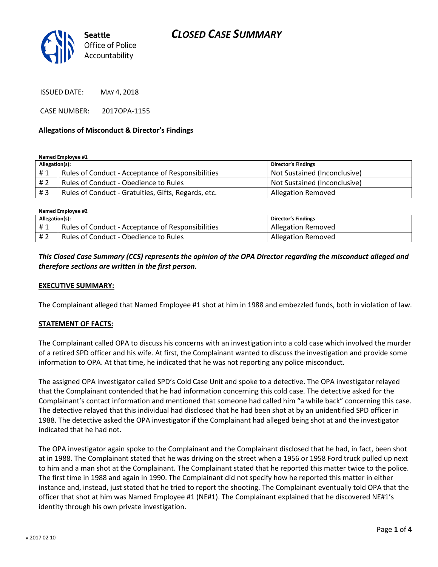

ISSUED DATE: MAY 4, 2018

CASE NUMBER: 2017OPA-1155

#### **Allegations of Misconduct & Director's Findings**

**Named Employee #1**

| Allegation(s): |                                                     | <b>Director's Findings</b>   |
|----------------|-----------------------------------------------------|------------------------------|
| #1             | Rules of Conduct - Acceptance of Responsibilities   | Not Sustained (Inconclusive) |
| # 2            | Rules of Conduct - Obedience to Rules               | Not Sustained (Inconclusive) |
| #3             | Rules of Conduct - Gratuities, Gifts, Regards, etc. | <b>Allegation Removed</b>    |

**Named Employee #2**

| Allegation(s): |                                                   | Director's Findings       |
|----------------|---------------------------------------------------|---------------------------|
| #1             | Rules of Conduct - Acceptance of Responsibilities | Allegation Removed        |
| # 2            | Rules of Conduct - Obedience to Rules             | <b>Allegation Removed</b> |

#### *This Closed Case Summary (CCS) represents the opinion of the OPA Director regarding the misconduct alleged and therefore sections are written in the first person.*

#### **EXECUTIVE SUMMARY:**

The Complainant alleged that Named Employee #1 shot at him in 1988 and embezzled funds, both in violation of law.

#### **STATEMENT OF FACTS:**

The Complainant called OPA to discuss his concerns with an investigation into a cold case which involved the murder of a retired SPD officer and his wife. At first, the Complainant wanted to discuss the investigation and provide some information to OPA. At that time, he indicated that he was not reporting any police misconduct.

The assigned OPA investigator called SPD's Cold Case Unit and spoke to a detective. The OPA investigator relayed that the Complainant contended that he had information concerning this cold case. The detective asked for the Complainant's contact information and mentioned that someone had called him "a while back" concerning this case. The detective relayed that this individual had disclosed that he had been shot at by an unidentified SPD officer in 1988. The detective asked the OPA investigator if the Complainant had alleged being shot at and the investigator indicated that he had not.

The OPA investigator again spoke to the Complainant and the Complainant disclosed that he had, in fact, been shot at in 1988. The Complainant stated that he was driving on the street when a 1956 or 1958 Ford truck pulled up next to him and a man shot at the Complainant. The Complainant stated that he reported this matter twice to the police. The first time in 1988 and again in 1990. The Complainant did not specify how he reported this matter in either instance and, instead, just stated that he tried to report the shooting. The Complainant eventually told OPA that the officer that shot at him was Named Employee #1 (NE#1). The Complainant explained that he discovered NE#1's identity through his own private investigation.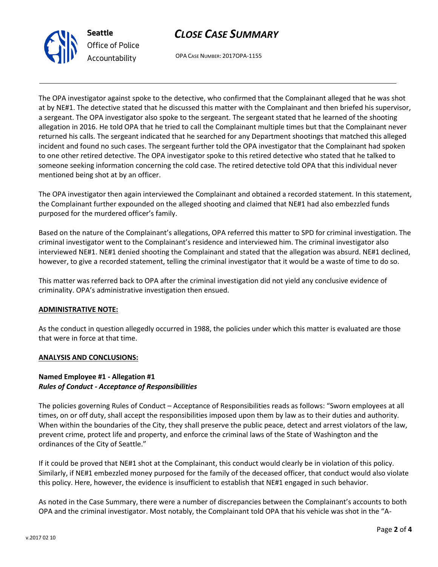



OPA CASE NUMBER: 2017OPA-1155

The OPA investigator against spoke to the detective, who confirmed that the Complainant alleged that he was shot at by NE#1. The detective stated that he discussed this matter with the Complainant and then briefed his supervisor, a sergeant. The OPA investigator also spoke to the sergeant. The sergeant stated that he learned of the shooting allegation in 2016. He told OPA that he tried to call the Complainant multiple times but that the Complainant never returned his calls. The sergeant indicated that he searched for any Department shootings that matched this alleged incident and found no such cases. The sergeant further told the OPA investigator that the Complainant had spoken to one other retired detective. The OPA investigator spoke to this retired detective who stated that he talked to someone seeking information concerning the cold case. The retired detective told OPA that this individual never mentioned being shot at by an officer.

The OPA investigator then again interviewed the Complainant and obtained a recorded statement. In this statement, the Complainant further expounded on the alleged shooting and claimed that NE#1 had also embezzled funds purposed for the murdered officer's family.

Based on the nature of the Complainant's allegations, OPA referred this matter to SPD for criminal investigation. The criminal investigator went to the Complainant's residence and interviewed him. The criminal investigator also interviewed NE#1. NE#1 denied shooting the Complainant and stated that the allegation was absurd. NE#1 declined, however, to give a recorded statement, telling the criminal investigator that it would be a waste of time to do so.

This matter was referred back to OPA after the criminal investigation did not yield any conclusive evidence of criminality. OPA's administrative investigation then ensued.

## **ADMINISTRATIVE NOTE:**

As the conduct in question allegedly occurred in 1988, the policies under which this matter is evaluated are those that were in force at that time.

#### **ANALYSIS AND CONCLUSIONS:**

## **Named Employee #1 - Allegation #1** *Rules of Conduct - Acceptance of Responsibilities*

The policies governing Rules of Conduct – Acceptance of Responsibilities reads as follows: "Sworn employees at all times, on or off duty, shall accept the responsibilities imposed upon them by law as to their duties and authority. When within the boundaries of the City, they shall preserve the public peace, detect and arrest violators of the law, prevent crime, protect life and property, and enforce the criminal laws of the State of Washington and the ordinances of the City of Seattle."

If it could be proved that NE#1 shot at the Complainant, this conduct would clearly be in violation of this policy. Similarly, if NE#1 embezzled money purposed for the family of the deceased officer, that conduct would also violate this policy. Here, however, the evidence is insufficient to establish that NE#1 engaged in such behavior.

As noted in the Case Summary, there were a number of discrepancies between the Complainant's accounts to both OPA and the criminal investigator. Most notably, the Complainant told OPA that his vehicle was shot in the "A-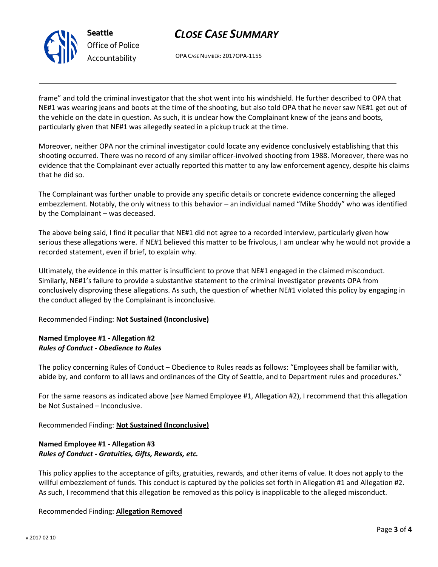

# *CLOSE CASE SUMMARY*

OPA CASE NUMBER: 2017OPA-1155

frame" and told the criminal investigator that the shot went into his windshield. He further described to OPA that NE#1 was wearing jeans and boots at the time of the shooting, but also told OPA that he never saw NE#1 get out of the vehicle on the date in question. As such, it is unclear how the Complainant knew of the jeans and boots, particularly given that NE#1 was allegedly seated in a pickup truck at the time.

Moreover, neither OPA nor the criminal investigator could locate any evidence conclusively establishing that this shooting occurred. There was no record of any similar officer-involved shooting from 1988. Moreover, there was no evidence that the Complainant ever actually reported this matter to any law enforcement agency, despite his claims that he did so.

The Complainant was further unable to provide any specific details or concrete evidence concerning the alleged embezzlement. Notably, the only witness to this behavior – an individual named "Mike Shoddy" who was identified by the Complainant – was deceased.

The above being said, I find it peculiar that NE#1 did not agree to a recorded interview, particularly given how serious these allegations were. If NE#1 believed this matter to be frivolous, I am unclear why he would not provide a recorded statement, even if brief, to explain why.

Ultimately, the evidence in this matter is insufficient to prove that NE#1 engaged in the claimed misconduct. Similarly, NE#1's failure to provide a substantive statement to the criminal investigator prevents OPA from conclusively disproving these allegations. As such, the question of whether NE#1 violated this policy by engaging in the conduct alleged by the Complainant is inconclusive.

## Recommended Finding: **Not Sustained (Inconclusive)**

## **Named Employee #1 - Allegation #2** *Rules of Conduct - Obedience to Rules*

The policy concerning Rules of Conduct – Obedience to Rules reads as follows: "Employees shall be familiar with, abide by, and conform to all laws and ordinances of the City of Seattle, and to Department rules and procedures."

For the same reasons as indicated above (*see* Named Employee #1, Allegation #2), I recommend that this allegation be Not Sustained – Inconclusive.

Recommended Finding: **Not Sustained (Inconclusive)**

## **Named Employee #1 - Allegation #3** *Rules of Conduct - Gratuities, Gifts, Rewards, etc.*

This policy applies to the acceptance of gifts, gratuities, rewards, and other items of value. It does not apply to the willful embezzlement of funds. This conduct is captured by the policies set forth in Allegation #1 and Allegation #2. As such, I recommend that this allegation be removed as this policy is inapplicable to the alleged misconduct.

## Recommended Finding: **Allegation Removed**